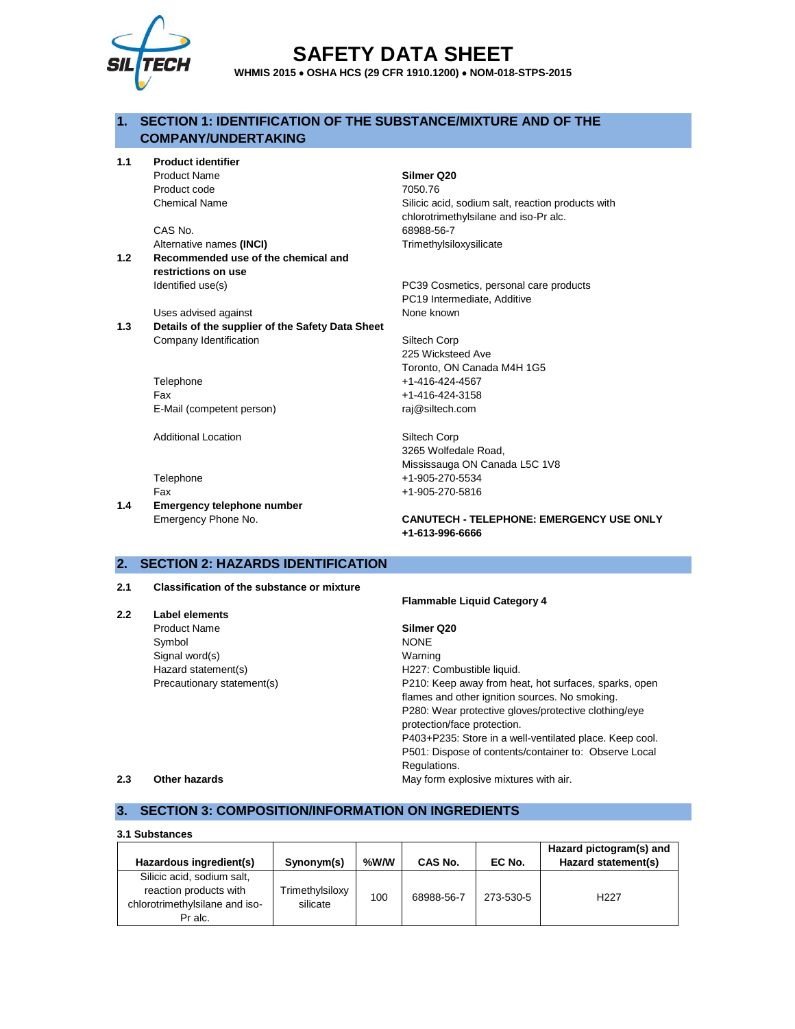

# **SAFETY DATA SHEET**

**WHMIS 2015** • **OSHA HCS (29 CFR 1910.1200)** • **NOM-018-STPS-2015**

# **1. SECTION 1: IDENTIFICATION OF THE SUBSTANCE/MIXTURE AND OF THE COMPANY/UNDERTAKING**

**1.1 Product identifier**

Product Name **Silmer Q20** Product code 7050.76

CAS No. 68988-56-7 Alternative names (INCI) **Trimethylsiloxysilicate** 

**1.2 Recommended use of the chemical and restrictions on use** Identified use(s) PC39 Cosmetics, personal care products

Uses advised against **None known** 

**1.3 Details of the supplier of the Safety Data Sheet** Company Identification Siltech Corp

> Telephone +1-416-424-4567 Fax +1-416-424-3158 E-Mail (competent person) raj@siltech.com

Additional Location **Siltech Corp** 

**1.4 Emergency telephone number**

Chemical Name Silicic acid, sodium salt, reaction products with chlorotrimethylsilane and iso-Pr alc.

PC19 Intermediate, Additive

225 Wicksteed Ave Toronto, ON Canada M4H 1G5

3265 Wolfedale Road, Mississauga ON Canada L5C 1V8 Telephone +1-905-270-5534 Fax +1-905-270-5816

**Flammable Liquid Category 4**

## Emergency Phone No. **CANUTECH - TELEPHONE: EMERGENCY USE ONLY +1-613-996-6666**

# **2. SECTION 2: HAZARDS IDENTIFICATION**

## **2.1 Classification of the substance or mixture**

|               |                            | <b>Flammable Liquid Category 4</b>                      |
|---------------|----------------------------|---------------------------------------------------------|
| $2.2^{\circ}$ | Label elements             |                                                         |
|               | <b>Product Name</b>        | Silmer Q20                                              |
|               | Symbol                     | <b>NONE</b>                                             |
|               | Signal word(s)             | Warning                                                 |
|               | Hazard statement(s)        | H227: Combustible liquid.                               |
|               | Precautionary statement(s) | P210: Keep away from heat, hot surfaces, sparks, open   |
|               |                            | flames and other ignition sources. No smoking.          |
|               |                            | P280: Wear protective gloves/protective clothing/eye    |
|               |                            | protection/face protection.                             |
|               |                            | P403+P235: Store in a well-ventilated place. Keep cool. |
|               |                            | P501: Dispose of contents/container to: Observe Local   |
|               |                            | Regulations.                                            |
| 2.3           | Other hazards              | May form explosive mixtures with air.                   |

# **3. SECTION 3: COMPOSITION/INFORMATION ON INGREDIENTS**

| 3.1 Substances                                                                                    |                             |      |            |           |                                                |  |  |
|---------------------------------------------------------------------------------------------------|-----------------------------|------|------------|-----------|------------------------------------------------|--|--|
| Hazardous ingredient(s)                                                                           | Synonym(s)                  | %W/W | CAS No.    | EC No.    | Hazard pictogram(s) and<br>Hazard statement(s) |  |  |
| Silicic acid, sodium salt,<br>reaction products with<br>chlorotrimethylsilane and iso-<br>Pr alc. | Trimethylsiloxy<br>silicate | 100  | 68988-56-7 | 273-530-5 | H <sub>22</sub> 7                              |  |  |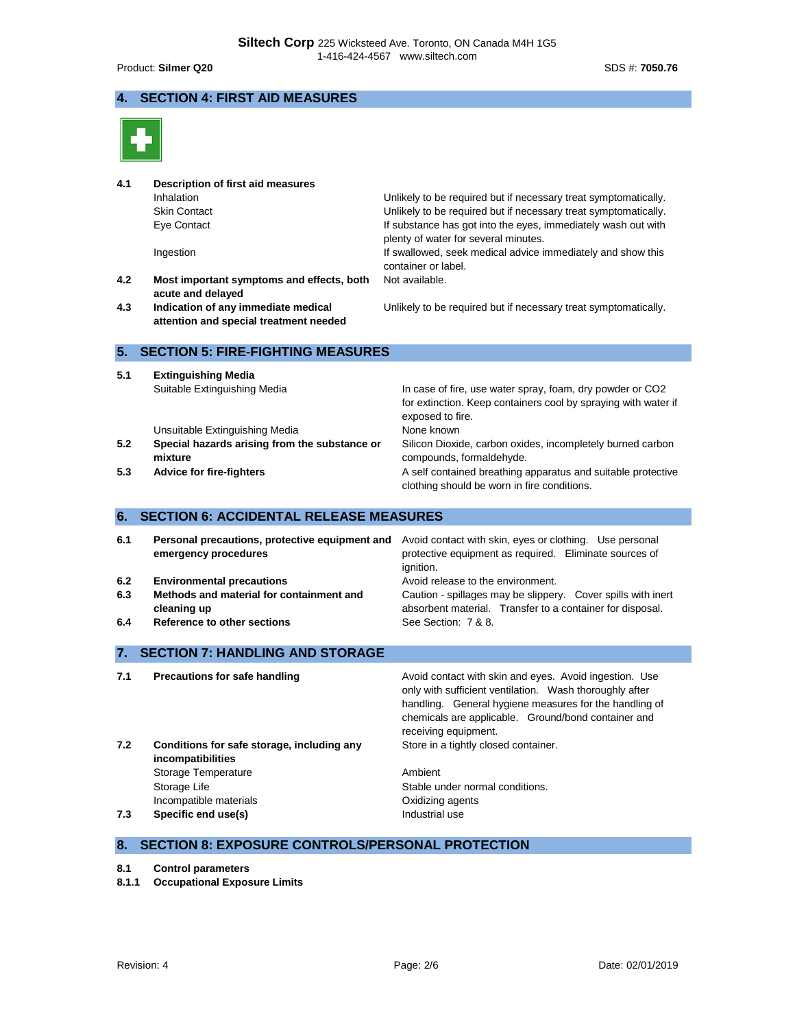# **4. SECTION 4: FIRST AID MEASURES**



| 4.1<br>4.2<br>4.3        | Description of first aid measures<br>Inhalation<br><b>Skin Contact</b><br>Eye Contact<br>Ingestion<br>Most important symptoms and effects, both<br>acute and delayed<br>Indication of any immediate medical<br>attention and special treatment needed | Unlikely to be required but if necessary treat symptomatically.<br>Unlikely to be required but if necessary treat symptomatically.<br>If substance has got into the eyes, immediately wash out with<br>plenty of water for several minutes.<br>If swallowed, seek medical advice immediately and show this<br>container or label.<br>Not available.<br>Unlikely to be required but if necessary treat symptomatically. |
|--------------------------|-------------------------------------------------------------------------------------------------------------------------------------------------------------------------------------------------------------------------------------------------------|------------------------------------------------------------------------------------------------------------------------------------------------------------------------------------------------------------------------------------------------------------------------------------------------------------------------------------------------------------------------------------------------------------------------|
| 5.                       | <b>SECTION 5: FIRE-FIGHTING MEASURES</b>                                                                                                                                                                                                              |                                                                                                                                                                                                                                                                                                                                                                                                                        |
| 5.1<br>5.2<br>5.3        | <b>Extinguishing Media</b><br>Suitable Extinguishing Media<br>Unsuitable Extinguishing Media<br>Special hazards arising from the substance or<br>mixture<br><b>Advice for fire-fighters</b>                                                           | In case of fire, use water spray, foam, dry powder or CO2<br>for extinction. Keep containers cool by spraying with water if<br>exposed to fire.<br>None known<br>Silicon Dioxide, carbon oxides, incompletely burned carbon<br>compounds, formaldehyde.<br>A self contained breathing apparatus and suitable protective<br>clothing should be worn in fire conditions.                                                 |
| 6.                       | <b>SECTION 6: ACCIDENTAL RELEASE MEASURES</b>                                                                                                                                                                                                         |                                                                                                                                                                                                                                                                                                                                                                                                                        |
| 6.1<br>6.2<br>6.3<br>6.4 | Personal precautions, protective equipment and<br>emergency procedures<br><b>Environmental precautions</b><br>Methods and material for containment and<br>cleaning up<br><b>Reference to other sections</b>                                           | Avoid contact with skin, eyes or clothing. Use personal<br>protective equipment as required. Eliminate sources of<br>ianition.<br>Avoid release to the environment.<br>Caution - spillages may be slippery. Cover spills with inert<br>absorbent material. Transfer to a container for disposal.<br>See Section: 7 & 8.                                                                                                |
| 7.                       | <b>SECTION 7: HANDLING AND STORAGE</b>                                                                                                                                                                                                                |                                                                                                                                                                                                                                                                                                                                                                                                                        |
| 7.1<br>7.2               | <b>Precautions for safe handling</b><br>Conditions for safe storage, including any                                                                                                                                                                    | Avoid contact with skin and eyes. Avoid ingestion. Use<br>only with sufficient ventilation. Wash thoroughly after<br>handling. General hygiene measures for the handling of<br>chemicals are applicable. Ground/bond container and<br>receiving equipment.<br>Store in a tightly closed container.                                                                                                                     |
|                          | incompatibilities<br>Storage Temperature<br>Storage Life<br>Incompatible materials                                                                                                                                                                    | Ambient<br>Stable under normal conditions.<br>Oxidizing agents                                                                                                                                                                                                                                                                                                                                                         |

**7.3 Specific end use(s) Industrial use** 

# **8. SECTION 8: EXPOSURE CONTROLS/PERSONAL PROTECTION**

- **8.1 Control parameters**
- **8.1.1 Occupational Exposure Limits**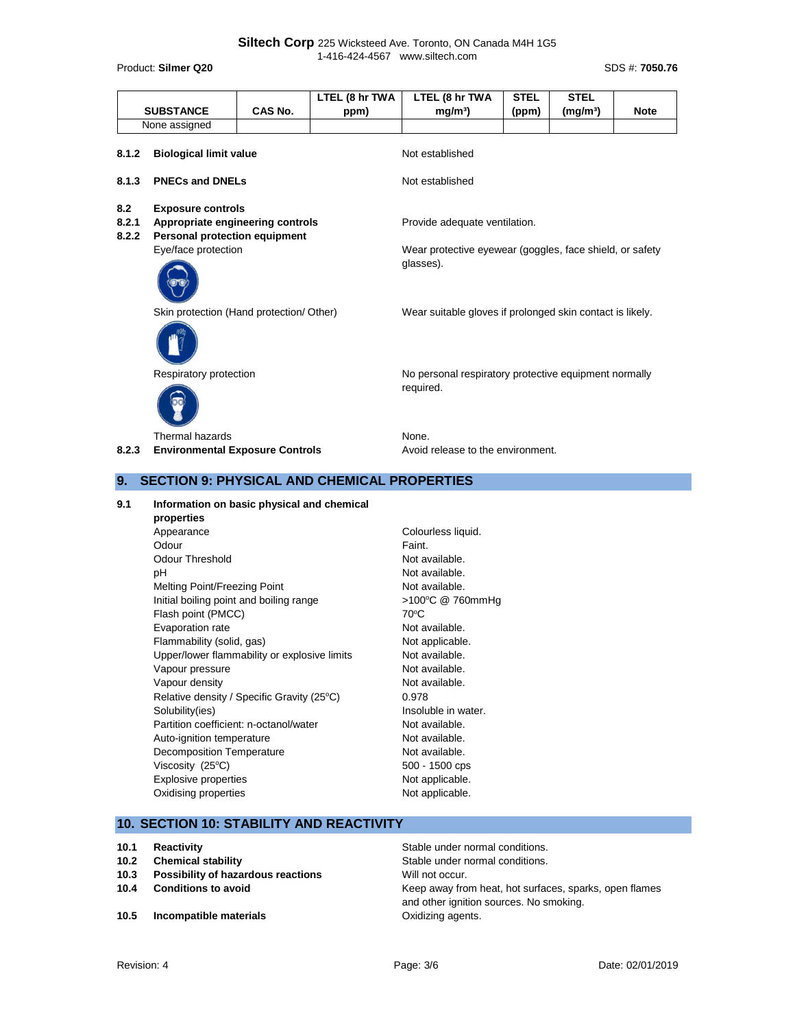|              | <b>SUBSTANCE</b>                         | CAS No. | LTEL (8 hr TWA | LTEL (8 hr TWA<br>mg/m <sup>3</sup>                                   | <b>STEL</b> | <b>STEL</b><br>(mg/m <sup>3</sup> ) | <b>Note</b> |
|--------------|------------------------------------------|---------|----------------|-----------------------------------------------------------------------|-------------|-------------------------------------|-------------|
|              |                                          |         | ppm)           |                                                                       | (ppm)       |                                     |             |
|              | None assigned                            |         |                |                                                                       |             |                                     |             |
| 8.1.2        | <b>Biological limit value</b>            |         |                | Not established                                                       |             |                                     |             |
| 8.1.3        | <b>PNECs and DNELs</b>                   |         |                | Not established                                                       |             |                                     |             |
| 8.2<br>8.2.1 | <b>Exposure controls</b>                 |         |                |                                                                       |             |                                     |             |
|              | Appropriate engineering controls         |         |                | Provide adequate ventilation.                                         |             |                                     |             |
| 8.2.2        | <b>Personal protection equipment</b>     |         |                |                                                                       |             |                                     |             |
|              | Eye/face protection                      |         |                | Wear protective eyewear (goggles, face shield, or safety<br>glasses). |             |                                     |             |
|              | Skin protection (Hand protection/ Other) |         |                | Wear suitable gloves if prolonged skin contact is likely.             |             |                                     |             |
|              | Respiratory protection                   |         |                | No personal respiratory protective equipment normally<br>required.    |             |                                     |             |
|              | Thermal hazards                          |         |                | None.                                                                 |             |                                     |             |

8.2.3 **Environmental Exposure Controls** Avoid release to the environment.

# **9. SECTION 9: PHYSICAL AND CHEMICAL PROPERTIES**

**9.1 Information on basic physical and chemical properties** Appearance Colourless liquid. Odour **Faint.** Odour Threshold Not available. pH Not available. Melting Point/Freezing Point Not available. Initial boiling point and boiling range >100°C @ 760mmHg Flash point (PMCC) 70°C Evaporation rate **Not available**. Flammability (solid, gas) Not applicable. Upper/lower flammability or explosive limits Not available. Vapour pressure Not available. Vapour density and the set of the Not available. Relative density / Specific Gravity (25°C) 0.978 Solubility(ies) Solubility(ies) and the soluble in water. Partition coefficient: n-octanol/water Not available. Auto-ignition temperature Not available. Decomposition Temperature Not available. Viscosity  $(25^{\circ}C)$  500 - 1500 cps Explosive properties Not applicable. Oxidising properties Not applicable.

# **10. SECTION 10: STABILITY AND REACTIVITY**

- 
- **10.3 Possibility of hazardous reactions** Will not occur.
- 
- **10.5 Incompatible materials 10.5 Incompatible materials C**Xidizing agents.

**10.1 Reactivity Reactivity Reactivity Reactivity Reactivity Reactivity Stable under normal conditions. 10.2 Chemical stability Chemical stability** Stable under normal conditions. **10.4 Conditions to avoid 10.4 Conditions to avoid Keep away from heat, hot surfaces, sparks, open flames** and other ignition sources. No smoking.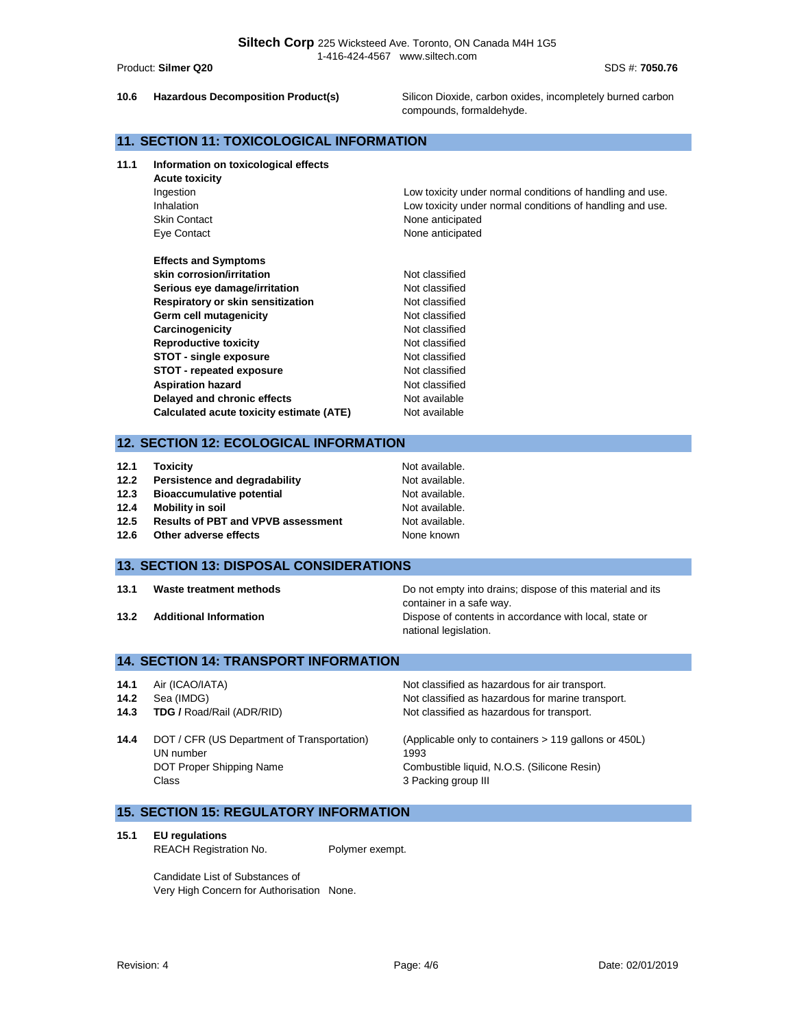**10.6 Hazardous Decomposition Product(s)** Silicon Dioxide, carbon oxides, incompletely burned carbon compounds, formaldehyde.

# **11. SECTION 11: TOXICOLOGICAL INFORMATION**

**11.1 Information on toxicological effects**

| <b>Acute toxicity</b>                    |                                                           |
|------------------------------------------|-----------------------------------------------------------|
| Ingestion                                | Low toxicity under normal conditions of handling and use. |
| Inhalation                               | Low toxicity under normal conditions of handling and use. |
| <b>Skin Contact</b>                      | None anticipated                                          |
| Eye Contact                              | None anticipated                                          |
| <b>Effects and Symptoms</b>              |                                                           |
| skin corrosion/irritation                | Not classified                                            |
| Serious eye damage/irritation            | Not classified                                            |
| Respiratory or skin sensitization        | Not classified                                            |
| Germ cell mutagenicity                   | Not classified                                            |
| Carcinogenicity                          | Not classified                                            |
| <b>Reproductive toxicity</b>             | Not classified                                            |
| STOT - single exposure                   | Not classified                                            |
| <b>STOT</b> - repeated exposure          | Not classified                                            |
| <b>Aspiration hazard</b>                 | Not classified                                            |
| Delayed and chronic effects              | Not available                                             |
| Calculated acute toxicity estimate (ATE) | Not available                                             |

# **12. SECTION 12: ECOLOGICAL INFORMATION**

| 12.1 | <b>Toxicity</b>                           | Not available. |
|------|-------------------------------------------|----------------|
| 12.2 | Persistence and degradability             | Not available. |
| 12.3 | <b>Bioaccumulative potential</b>          | Not available. |
| 12.4 | Mobility in soil                          | Not available. |
| 12.5 | <b>Results of PBT and VPVB assessment</b> | Not available. |
| 12.6 | Other adverse effects                     | None known     |

## **13. SECTION 13: DISPOSAL CONSIDERATIONS**

**13.1 13.1 13.1 13.1 Do not empty into drains; dispose of this material and its** container in a safe way. **13.2 Additional Information 13.2 Additional Information Dispose of contents in accordance with local, state or** national legislation.

# **14. SECTION 14: TRANSPORT INFORMATION**

| 14.1 | Air (ICAO/IATA)                                                                               | Not classified as hazardous for air transport.                                                                                      |
|------|-----------------------------------------------------------------------------------------------|-------------------------------------------------------------------------------------------------------------------------------------|
| 14.2 | Sea (IMDG)                                                                                    | Not classified as hazardous for marine transport.                                                                                   |
| 14.3 | <b>TDG / Road/Rail (ADR/RID)</b>                                                              | Not classified as hazardous for transport.                                                                                          |
| 14.4 | DOT / CFR (US Department of Transportation)<br>UN number<br>DOT Proper Shipping Name<br>Class | (Applicable only to containers > 119 gallons or 450L)<br>1993<br>Combustible liquid, N.O.S. (Silicone Resin)<br>3 Packing group III |

# **15. SECTION 15: REGULATORY INFORMATION**

**15.1 EU regulations**

REACH Registration No. Polymer exempt.

Candidate List of Substances of Very High Concern for Authorisation None.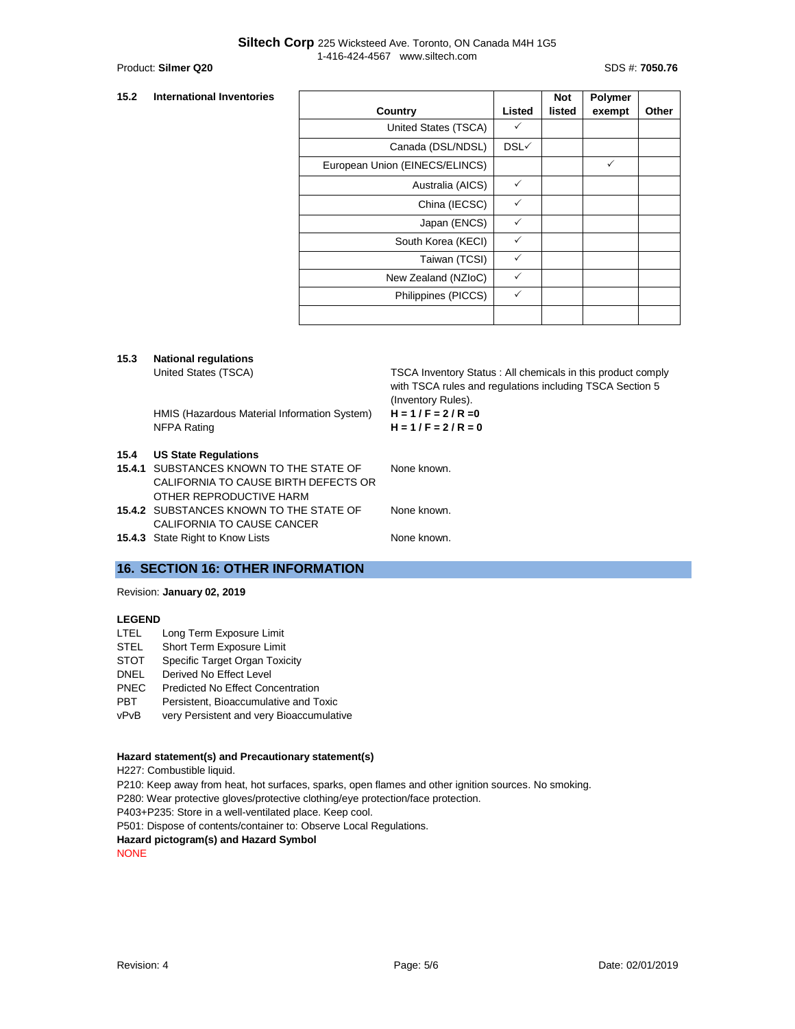#### **15.2 International Inventories**

|                                |              | <b>Not</b> | <b>Polymer</b> |       |
|--------------------------------|--------------|------------|----------------|-------|
| Country                        | Listed       | listed     | exempt         | Other |
| United States (TSCA)           | ✓            |            |                |       |
| Canada (DSL/NDSL)              | DSL√         |            |                |       |
| European Union (EINECS/ELINCS) |              |            | $\checkmark$   |       |
| Australia (AICS)               | $\checkmark$ |            |                |       |
| China (IECSC)                  | $\checkmark$ |            |                |       |
| Japan (ENCS)                   | $\checkmark$ |            |                |       |
| South Korea (KECI)             | $\checkmark$ |            |                |       |
| Taiwan (TCSI)                  | ✓            |            |                |       |
| New Zealand (NZIoC)            | ✓            |            |                |       |
| Philippines (PICCS)            | ✓            |            |                |       |
|                                |              |            |                |       |

#### **15.3 National regulations**

United States (TSCA) TSCA Inventory Status : All chemicals in this product comply with TSCA rules and regulations including TSCA Section 5 (Inventory Rules).

HMIS (Hazardous Material Information System) **H = 1 / F = 2 / R =0** NFPA Rating **H = 1 / F = 2 / R = 0**

#### **15.4 US State Regulations**

| 15.4.1 SUBSTANCES KNOWN TO THE STATE OF | None known. |
|-----------------------------------------|-------------|
| CALIFORNIA TO CAUSE BIRTH DEFECTS OR    |             |
| OTHER REPRODUCTIVE HARM                 |             |

**15.4.2** SUBSTANCES KNOWN TO THE STATE OF CALIFORNIA TO CAUSE CANCER None known.

**15.4.3** State Right to Know Lists None known.

# **16. SECTION 16: OTHER INFORMATION**

## Revision: **January 02, 2019**

### **LEGEND**

- LTEL Long Term Exposure Limit
- STEL Short Term Exposure Limit
- STOT Specific Target Organ Toxicity
- DNEL Derived No Effect Level
- 
- PNEC Predicted No Effect Concentration<br>PBT Persistent. Bioaccumulative and To
- **PBT** Persistent, Bioaccumulative and Toxic<br>
vPvB very Persistent and very Bioaccumulat very Persistent and very Bioaccumulative

#### **Hazard statement(s) and Precautionary statement(s)**

H227: Combustible liquid.

P210: Keep away from heat, hot surfaces, sparks, open flames and other ignition sources. No smoking.

P280: Wear protective gloves/protective clothing/eye protection/face protection.

P403+P235: Store in a well-ventilated place. Keep cool.

P501: Dispose of contents/container to: Observe Local Regulations.

#### **Hazard pictogram(s) and Hazard Symbol**

NONE